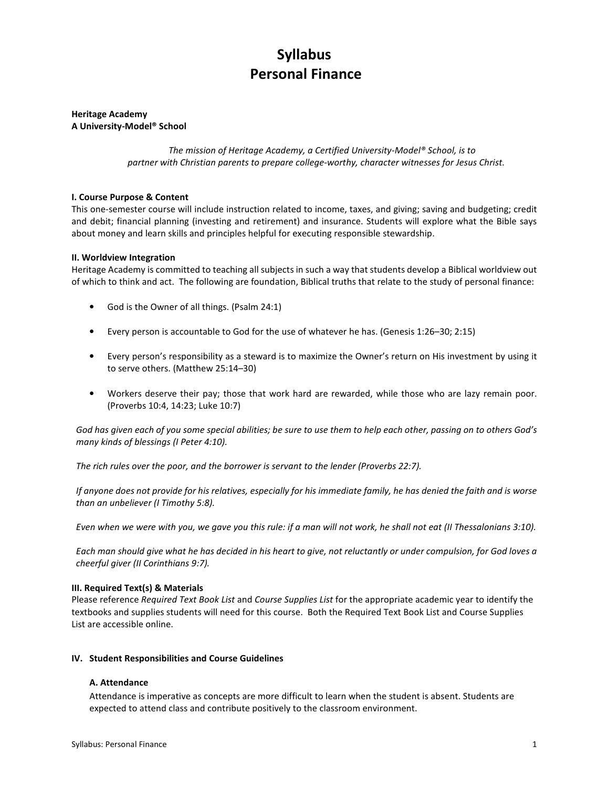# Syllabus Personal Finance

## Heritage Academy A University-Model® School

The mission of Heritage Academy, a Certified University-Model® School, is to partner with Christian parents to prepare college-worthy, character witnesses for Jesus Christ.

## I. Course Purpose & Content

This one-semester course will include instruction related to income, taxes, and giving; saving and budgeting; credit and debit; financial planning (investing and retirement) and insurance. Students will explore what the Bible says about money and learn skills and principles helpful for executing responsible stewardship.

#### II. Worldview Integration

Heritage Academy is committed to teaching all subjects in such a way that students develop a Biblical worldview out of which to think and act. The following are foundation, Biblical truths that relate to the study of personal finance:

- God is the Owner of all things. (Psalm 24:1)
- Every person is accountable to God for the use of whatever he has. (Genesis 1:26–30; 2:15)
- Every person's responsibility as a steward is to maximize the Owner's return on His investment by using it to serve others. (Matthew 25:14–30)
- Workers deserve their pay; those that work hard are rewarded, while those who are lazy remain poor. (Proverbs 10:4, 14:23; Luke 10:7)

God has given each of you some special abilities; be sure to use them to help each other, passing on to others God's many kinds of blessings (I Peter 4:10).

The rich rules over the poor, and the borrower is servant to the lender (Proverbs 22:7).

If anyone does not provide for his relatives, especially for his immediate family, he has denied the faith and is worse than an unbeliever (I Timothy 5:8).

Even when we were with you, we gave you this rule: if a man will not work, he shall not eat (II Thessalonians 3:10).

Each man should give what he has decided in his heart to give, not reluctantly or under compulsion, for God loves a cheerful giver (II Corinthians 9:7).

#### III. Required Text(s) & Materials

Please reference Required Text Book List and Course Supplies List for the appropriate academic year to identify the textbooks and supplies students will need for this course. Both the Required Text Book List and Course Supplies List are accessible online.

#### IV. Student Responsibilities and Course Guidelines

#### A. Attendance

Attendance is imperative as concepts are more difficult to learn when the student is absent. Students are expected to attend class and contribute positively to the classroom environment.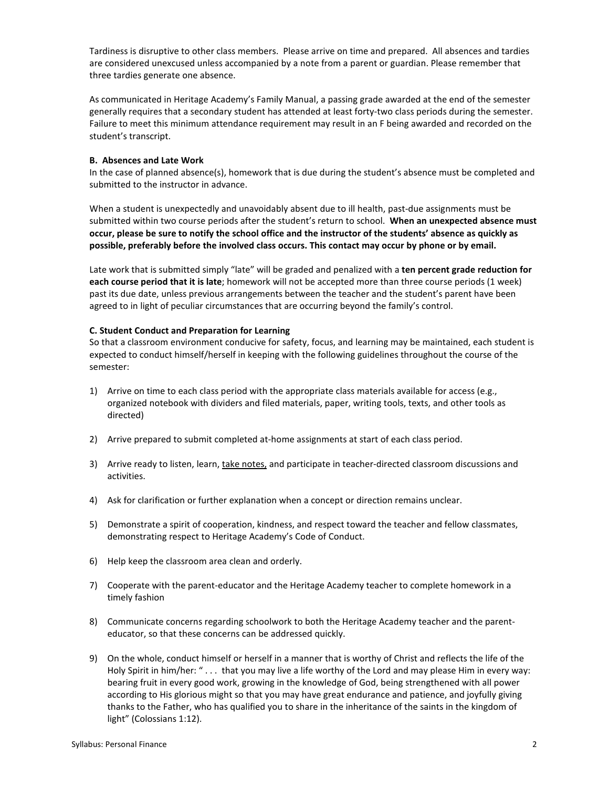Tardiness is disruptive to other class members. Please arrive on time and prepared. All absences and tardies are considered unexcused unless accompanied by a note from a parent or guardian. Please remember that three tardies generate one absence.

As communicated in Heritage Academy's Family Manual, a passing grade awarded at the end of the semester generally requires that a secondary student has attended at least forty-two class periods during the semester. Failure to meet this minimum attendance requirement may result in an F being awarded and recorded on the student's transcript.

## B. Absences and Late Work

In the case of planned absence(s), homework that is due during the student's absence must be completed and submitted to the instructor in advance.

When a student is unexpectedly and unavoidably absent due to ill health, past-due assignments must be submitted within two course periods after the student's return to school. When an unexpected absence must occur, please be sure to notify the school office and the instructor of the students' absence as quickly as possible, preferably before the involved class occurs. This contact may occur by phone or by email.

Late work that is submitted simply "late" will be graded and penalized with a ten percent grade reduction for each course period that it is late; homework will not be accepted more than three course periods (1 week) past its due date, unless previous arrangements between the teacher and the student's parent have been agreed to in light of peculiar circumstances that are occurring beyond the family's control.

## C. Student Conduct and Preparation for Learning

So that a classroom environment conducive for safety, focus, and learning may be maintained, each student is expected to conduct himself/herself in keeping with the following guidelines throughout the course of the semester:

- 1) Arrive on time to each class period with the appropriate class materials available for access (e.g., organized notebook with dividers and filed materials, paper, writing tools, texts, and other tools as directed)
- 2) Arrive prepared to submit completed at-home assignments at start of each class period.
- 3) Arrive ready to listen, learn, take notes, and participate in teacher-directed classroom discussions and activities.
- 4) Ask for clarification or further explanation when a concept or direction remains unclear.
- 5) Demonstrate a spirit of cooperation, kindness, and respect toward the teacher and fellow classmates, demonstrating respect to Heritage Academy's Code of Conduct.
- 6) Help keep the classroom area clean and orderly.
- 7) Cooperate with the parent-educator and the Heritage Academy teacher to complete homework in a timely fashion
- 8) Communicate concerns regarding schoolwork to both the Heritage Academy teacher and the parenteducator, so that these concerns can be addressed quickly.
- 9) On the whole, conduct himself or herself in a manner that is worthy of Christ and reflects the life of the Holy Spirit in him/her: " . . . that you may live a life worthy of the Lord and may please Him in every way: bearing fruit in every good work, growing in the knowledge of God, being strengthened with all power according to His glorious might so that you may have great endurance and patience, and joyfully giving thanks to the Father, who has qualified you to share in the inheritance of the saints in the kingdom of light" (Colossians 1:12).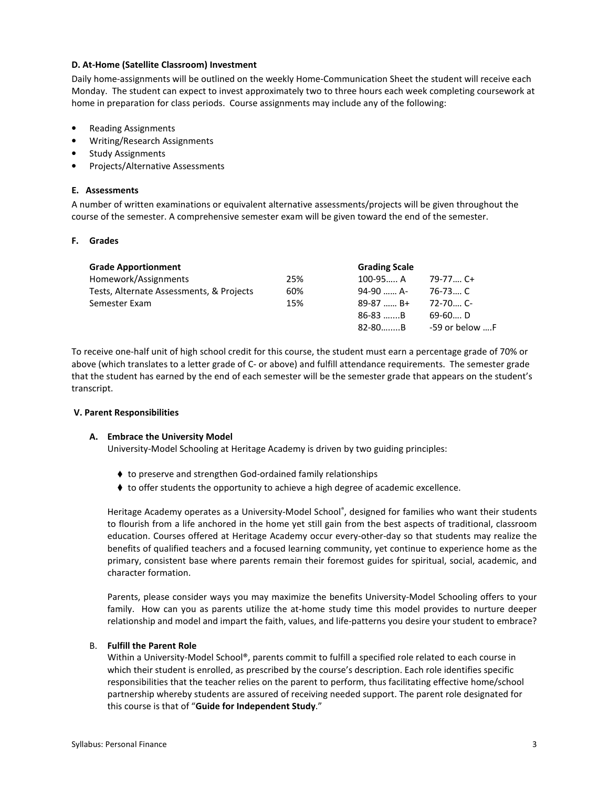## D. At-Home (Satellite Classroom) Investment

Daily home-assignments will be outlined on the weekly Home-Communication Sheet the student will receive each Monday. The student can expect to invest approximately two to three hours each week completing coursework at home in preparation for class periods. Course assignments may include any of the following:

- Reading Assignments
- Writing/Research Assignments
- **Study Assignments**
- Projects/Alternative Assessments

## E. Assessments

A number of written examinations or equivalent alternative assessments/projects will be given throughout the course of the semester. A comprehensive semester exam will be given toward the end of the semester.

## F. Grades

| <b>Grade Apportionment</b>               |     | <b>Grading Scale</b> |                |
|------------------------------------------|-----|----------------------|----------------|
| Homework/Assignments                     | 25% | $100 - 95$ A         | $79-77$ C+     |
| Tests, Alternate Assessments, & Projects | 60% | 94-90  A-            | 76-73 C        |
| Semester Exam                            | 15% | $89-87$ B+           | $72 - 70$ C-   |
|                                          |     | $86-83$ B            | 69-60 D        |
|                                          |     | $82 - 80$ B          | -59 or below F |

To receive one-half unit of high school credit for this course, the student must earn a percentage grade of 70% or above (which translates to a letter grade of C- or above) and fulfill attendance requirements. The semester grade that the student has earned by the end of each semester will be the semester grade that appears on the student's transcript.

#### V. Parent Responsibilities

#### A. Embrace the University Model

University-Model Schooling at Heritage Academy is driven by two guiding principles:

- ♦ to preserve and strengthen God-ordained family relationships
- ♦ to offer students the opportunity to achieve a high degree of academic excellence.

Heritage Academy operates as a University-Model School®, designed for families who want their students to flourish from a life anchored in the home yet still gain from the best aspects of traditional, classroom education. Courses offered at Heritage Academy occur every-other-day so that students may realize the benefits of qualified teachers and a focused learning community, yet continue to experience home as the primary, consistent base where parents remain their foremost guides for spiritual, social, academic, and character formation.

Parents, please consider ways you may maximize the benefits University-Model Schooling offers to your family. How can you as parents utilize the at-home study time this model provides to nurture deeper relationship and model and impart the faith, values, and life-patterns you desire your student to embrace?

#### B. Fulfill the Parent Role

Within a University-Model School®, parents commit to fulfill a specified role related to each course in which their student is enrolled, as prescribed by the course's description. Each role identifies specific responsibilities that the teacher relies on the parent to perform, thus facilitating effective home/school partnership whereby students are assured of receiving needed support. The parent role designated for this course is that of "Guide for Independent Study."